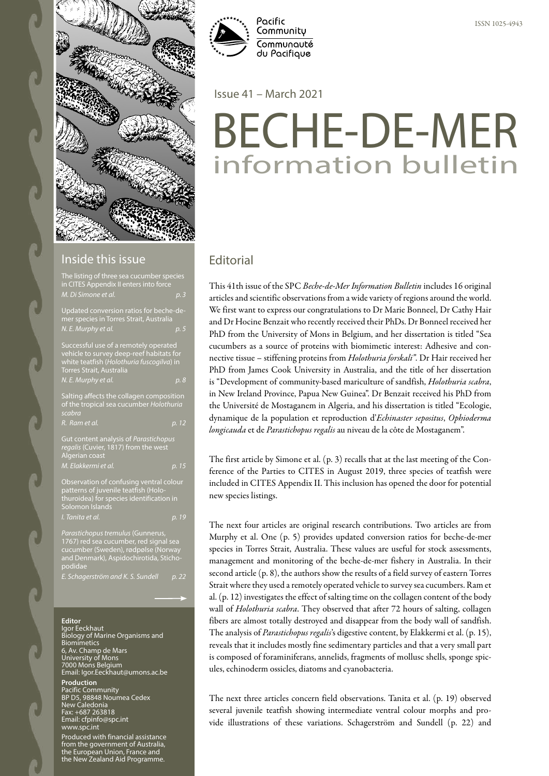

#### Inside this issue

| The listing of three sea cucumber species<br>in CITES Appendix II enters into force<br>M. Di Simone et al.                                                                               | p.3   |
|------------------------------------------------------------------------------------------------------------------------------------------------------------------------------------------|-------|
| Updated conversion ratios for beche-de-<br>mer species in Torres Strait, Australia<br>N. E. Murphy et al.                                                                                | p. 5  |
| Successful use of a remotely operated<br>vehicle to survey deep-reef habitats for<br>white teatfish (Holothuria fuscogilva) in<br><b>Torres Strait, Australia</b><br>N. E. Murphy et al. | p. 8  |
| Salting affects the collagen composition<br>of the tropical sea cucumber Holothuria<br>scabra                                                                                            |       |
| R. Ram et al.                                                                                                                                                                            | p. 12 |
| Gut content analysis of Parastichopus<br>regalis (Cuvier, 1817) from the west<br>Algerian coast                                                                                          |       |
| M. Elakkermi et al.                                                                                                                                                                      | p. 15 |
| Observation of confusing ventral colour<br>patterns of juvenile teatfish (Holo-<br>thuroidea) for species identification in<br>Solomon Islands                                           |       |
| I. Tanita et al.                                                                                                                                                                         | p. 19 |
| Parastichopus tremulus (Gunnerus,                                                                                                                                                        |       |

cucumber (Sweden), rødpølse (Norway and Denmark), Aspidochirotida, Stichopodidae

*E. Schagerström and K. S. Sundell p. 22*

#### **Editor**

Igor Eeckhaut Biology of Marine Organisms and Biomimetics 6, Av. Champ de Mars University of Mons 7000 Mons Belgium Email: Igor.Eeckhaut@umons.ac.be

#### **Production**

fic Community 98848 Noumea Cedex New Caledonia Fax: +687 263818 Email: cfpinfo@spc.int www.spc.int

Produced with financial assistance from the government of Australia, the European Union, France and the New Zealand Aid Programme.



Issue 41 – March 2021

# BECHE-DE-MER information bulletin

# **Editorial**

This 41th issue of the SPC *Beche-de-Mer Information Bulletin* includes 16 original articles and scientific observations from a wide variety of regions around the world. We first want to express our congratulations to Dr Marie Bonneel, Dr Cathy Hair and Dr Hocine Benzait who recently received their PhDs. Dr Bonneel received her PhD from the University of Mons in Belgium, and her dissertation is titled "Sea cucumbers as a source of proteins with biomimetic interest: Adhesive and connective tissue – stiffening proteins from *Holothuria forskali"*. Dr Hair received her PhD from James Cook University in Australia, and the title of her dissertation is "Development of community-based mariculture of sandfish, *Holothuria scabra*, in New Ireland Province, Papua New Guinea". Dr Benzait received his PhD from the Université de Mostaganem in Algeria, and his dissertation is titled "Ecologie, dynamique de la population et reproduction d'*Echinaster sepositus*, *Ophioderma longicauda* et de *Parastichopus regalis* au niveau de la côte de Mostaganem".

The first article by Simone et al. (p. 3) recalls that at the last meeting of the Conference of the Parties to CITES in August 2019, three species of teatfish were included in CITES Appendix II. This inclusion has opened the door for potential new species listings.

The next four articles are original research contributions. Two articles are from Murphy et al. One (p. 5) provides updated conversion ratios for beche-de-mer species in Torres Strait, Australia. These values are useful for stock assessments, management and monitoring of the beche-de-mer fishery in Australia. In their second article (p. 8), the authors show the results of a field survey of eastern Torres Strait where they used a remotely operated vehicle to survey sea cucumbers. Ram et al. (p. 12) investigates the effect of salting time on the collagen content of the body wall of *Holothuria scabra*. They observed that after 72 hours of salting, collagen fibers are almost totally destroyed and disappear from the body wall of sandfish. The analysis of *Parastichopus regalis*'s digestive content, by Elakkermi et al. (p. 15), reveals that it includes mostly fine sedimentary particles and that a very small part is composed of foraminiferans, annelids, fragments of mollusc shells, sponge spicules, echinoderm ossicles, diatoms and cyanobacteria.

The next three articles concern field observations. Tanita et al. (p. 19) observed several juvenile teatfish showing intermediate ventral colour morphs and provide illustrations of these variations. Schagerström and Sundell (p. 22) and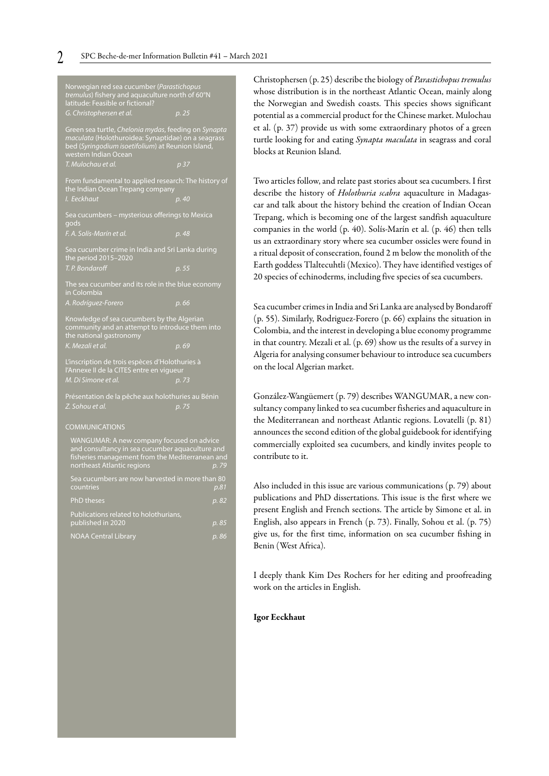| Norwegian red sea cucumber (Parastichopus<br>tremulus) fishery and aquaculture north of 60°N<br>latitude: Feasible or fictional?                                                        |                   |
|-----------------------------------------------------------------------------------------------------------------------------------------------------------------------------------------|-------------------|
| G. Christophersen et al.                                                                                                                                                                | p. 25             |
| Green sea turtle, Chelonia mydas, feeding on Synapta<br>maculata (Holothuroidea: Synaptidae) on a seagrass<br>bed (Syringodium isoetifolium) at Reunion Island,<br>western Indian Ocean |                   |
| T. Mulochau et al.                                                                                                                                                                      | $\overline{p}$ 37 |
| From fundamental to applied research: The history of<br>the Indian Ocean Trepang company                                                                                                |                   |
| I. Eeckhaut                                                                                                                                                                             | p. 40             |
| Sea cucumbers - mysterious offerings to Mexica<br>gods                                                                                                                                  |                   |
| F. A. Solís-Marín et al.                                                                                                                                                                | p. 48             |
| Sea cucumber crime in India and Sri Lanka during<br>the period 2015-2020                                                                                                                |                   |
| T. P. Bondaroff                                                                                                                                                                         | p. 55             |
| The sea cucumber and its role in the blue economy<br>in Colombia                                                                                                                        |                   |
| A. Rodríguez-Forero                                                                                                                                                                     | p. 66             |
| Knowledge of sea cucumbers by the Algerian<br>community and an attempt to introduce them into<br>the national gastronomy                                                                |                   |
| K. Mezali et al.                                                                                                                                                                        | p. 69             |
|                                                                                                                                                                                         |                   |
| L'inscription de trois espèces d'Holothuries à<br>l'Annexe II de la CITES entre en vigueur                                                                                              |                   |
| M. Di Simone et al.                                                                                                                                                                     | p. 73             |
| Présentation de la pêche aux holothuries au Bénin                                                                                                                                       |                   |
| Z. Sohou et al.                                                                                                                                                                         | p. 75             |
| <b>COMMUNICATIONS</b>                                                                                                                                                                   |                   |
| WANGUMAR: A new company focused on advice<br>and consultancy in sea cucumber aquaculture and<br>fisheries management from the Mediterranean and<br>northeast Atlantic regions           | p. 79             |
| Sea cucumbers are now harvested in more than 80<br>countries                                                                                                                            | p.81              |
| <b>PhD</b> theses                                                                                                                                                                       | p. 82             |
| Publications related to holothurians,<br>published in 2020                                                                                                                              | p. 85             |

Christophersen (p. 25) describe the biology of *Parastichopus tremulus* whose distribution is in the northeast Atlantic Ocean, mainly along the Norwegian and Swedish coasts. This species shows significant potential as a commercial product for the Chinese market. Mulochau et al. (p. 37) provide us with some extraordinary photos of a green turtle looking for and eating *Synapta maculata* in seagrass and coral blocks at Reunion Island.

Two articles follow, and relate past stories about sea cucumbers. I first describe the history of *Holothuria scabra* aquaculture in Madagascar and talk about the history behind the creation of Indian Ocean Trepang, which is becoming one of the largest sandfish aquaculture companies in the world (p. 40). Solís-Marín et al. (p. 46) then tells us an extraordinary story where sea cucumber ossicles were found in a ritual deposit of consecration, found 2 m below the monolith of the Earth goddess Tlaltecuhtli (Mexico). They have identified vestiges of 20 species of echinoderms, including five species of sea cucumbers.

Sea cucumber crimes in India and Sri Lanka are analysed by Bondaroff (p. 55). Similarly, Rodriguez-Forero (p. 66) explains the situation in Colombia, and the interest in developing a blue economy programme in that country. Mezali et al. (p. 69) show us the results of a survey in Algeria for analysing consumer behaviour to introduce sea cucumbers on the local Algerian market.

González-Wangüemert (p. 79) describes WANGUMAR, a new consultancy company linked to sea cucumber fisheries and aquaculture in the Mediterranean and northeast Atlantic regions. Lovatelli (p. 81) announces the second edition of the global guidebook for identifying commercially exploited sea cucumbers, and kindly invites people to contribute to it.

Also included in this issue are various communications (p. 79) about publications and PhD dissertations. This issue is the first where we present English and French sections. The article by Simone et al. in English, also appears in French (p. 73). Finally, Sohou et al. (p. 75) give us, for the first time, information on sea cucumber fishing in Benin (West Africa).

I deeply thank Kim Des Rochers for her editing and proofreading work on the articles in English.

#### Igor Eeckhaut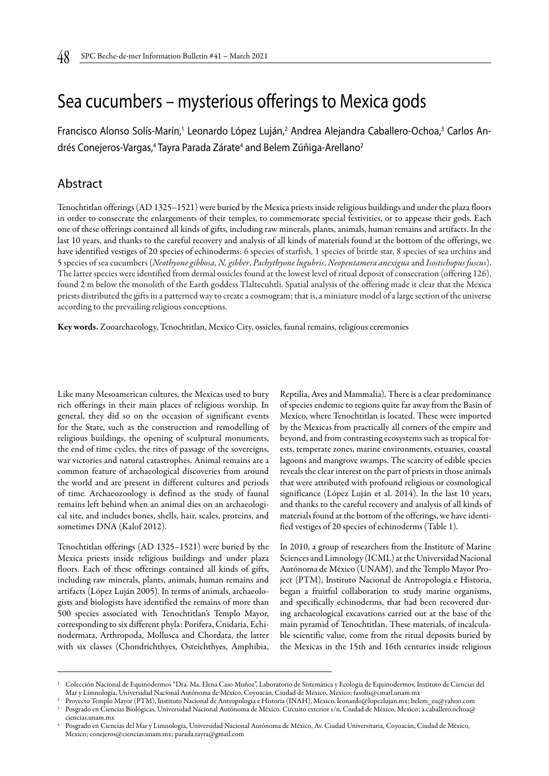# Sea cucumbers – mysterious offerings to Mexica gods

Francisco Alonso Solís-Marín,<sup>1</sup> Leonardo López Luján,<sup>2</sup> Andrea Alejandra Caballero-Ochoa,<sup>3</sup> Carlos Andrés Conejeros-Vargas,<sup>4</sup> Tayra Parada Zárate<sup>4</sup> and Belem Zúñiga-Arellano<sup>2</sup>

#### Abstract

Tenochtitlan offerings (AD 1325–1521) were buried by the Mexica priests inside religious buildings and under the plaza floors in order to consecrate the enlargements of their temples, to commemorate special festivities, or to appease their gods. Each one of these offerings contained all kinds of gifts, including raw minerals, plants, animals, human remains and artifacts. In the last 10 years, and thanks to the careful recovery and analysis of all kinds of materials found at the bottom of the offerings, we have identified vestiges of 20 species of echinoderms: 6 species of starfish, 1 species of brittle star, 8 species of sea urchins and 5 species of sea cucumbers (*Neothyone gibbosa*, *N. gibber*, *Pachythyone lugubris*, *Neopentamera anexigua* and *Isostichopus fuscus*). The latter species were identified from dermal ossicles found at the lowest level of ritual deposit of consecration (offering 126), found 2 m below the monolith of the Earth goddess Tlaltecuhtli. Spatial analysis of the offering made it clear that the Mexica priests distributed the gifts in a patterned way to create a cosmogram; that is, a miniature model of a large section of the universe according to the prevailing religious conceptions.

Key words. Zooarchaeology, Tenochtitlan, Mexico City, ossicles, faunal remains, religious ceremonies

Like many Mesoamerican cultures, the Mexicas used to bury rich offerings in their main places of religious worship. In general, they did so on the occasion of significant events for the State, such as the construction and remodelling of religious buildings, the opening of sculptural monuments, the end of time cycles, the rites of passage of the sovereigns, war victories and natural catastrophes. Animal remains are a common feature of archaeological discoveries from around the world and are present in different cultures and periods of time. Archaeozoology is defined as the study of faunal remains left behind when an animal dies on an archaeological site, and includes bones, shells, hair, scales, proteins, and sometimes DNA (Kalof 2012).

Tenochtitlan offerings (AD 1325–1521) were buried by the Mexica priests inside religious buildings and under plaza floors. Each of these offerings contained all kinds of gifts, including raw minerals, plants, animals, human remains and artifacts (López Luján 2005). In terms of animals, archaeologists and biologists have identified the remains of more than 500 species associated with Tenochtitlan's Templo Mayor, corresponding to six different phyla: Porifera, Cnidaria, Echinodermata, Arthropoda, Mollusca and Chordata, the latter with six classes (Chondrichthyes, Osteichthyes, Amphibia,

Reptilia, Aves and Mammalia). There is a clear predominance of species endemic to regions quite far away from the Basin of Mexico, where Tenochtitlan is located. These were imported by the Mexicas from practically all corners of the empire and beyond, and from contrasting ecosystems such as tropical forests, temperate zones, marine environments, estuaries, coastal lagoons and mangrove swamps. The scarcity of edible species reveals the clear interest on the part of priests in those animals that were attributed with profound religious or cosmological significance (López Luján et al. 2014). In the last 10 years, and thanks to the careful recovery and analysis of all kinds of materials found at the bottom of the offerings, we have identified vestiges of 20 species of echinoderms (Table 1).

In 2010, a group of researchers from the Institute of Marine Sciences and Limnology (ICML) at the Universidad Nacional Autónoma de México (UNAM), and the Templo Mayor Project (PTM), Instituto Nacional de Antropología e Historia, began a fruitful collaboration to study marine organisms, and specifically echinoderms, that had been recovered during archaeological excavations carried out at the base of the main pyramid of Tenochtitlan. These materials, of incalculable scientific value, come from the ritual deposits buried by the Mexicas in the 15th and 16th centuries inside religious

<sup>1</sup> Colección Nacional de Equinodermos "Dra. Ma. Elena Caso Muñoz", Laboratorio de Sistemática y Ecología de Equinodermos, Instituto de Ciencias del Mar y Limnología, Universidad Nacional Autónoma de México, Coyoacán, Ciudad de México, Mexico; fasolis@cmarl.unam.mx

<sup>2</sup> Proyecto Templo Mayor (PTM), Instituto Nacional de Antropología e Historia (INAH), Mexico. leonardo@lopezlujan.mx; belem\_zu@yahoo.com Posgrado en Ciencias Biológicas, Universidad Nacional Autónoma de México. Circuito exterior s/n, Ciudad de México, Mexico; a.caballero.ochoa@ ciencias.unam.mx

<sup>4</sup> Posgrado en Ciencias del Mar y Limnología, Universidad Nacional Autónoma de México, Av. Ciudad Universitaria, Coyoacán, Ciudad de México, Mexico; conejeros@ciencias.unam.mx; parada.tayra@gmail.com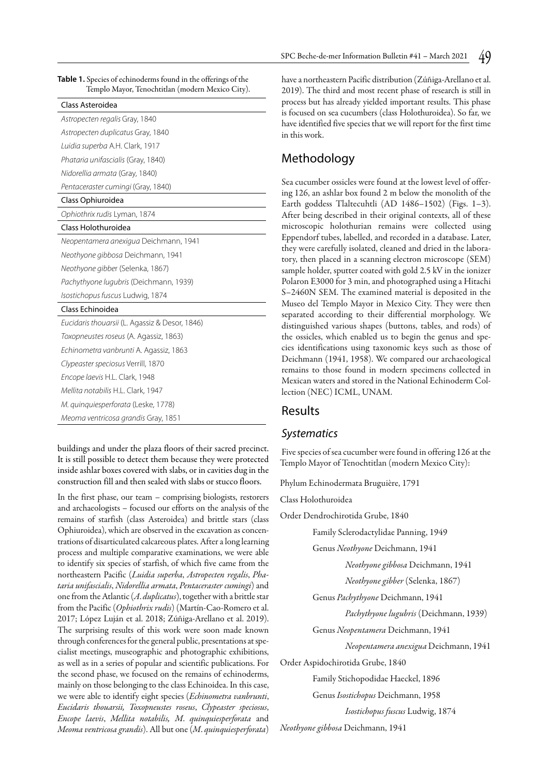| Table 1. Species of echinoderms found in the offerings of the<br>Templo Mayor, Tenochtitlan (modern Mexico City). |  |
|-------------------------------------------------------------------------------------------------------------------|--|
| Class Asteroidea                                                                                                  |  |
| Astropecten regalis Gray, 1840                                                                                    |  |
| Astropecten duplicatus Gray, 1840                                                                                 |  |
| Luidia superba A.H. Clark, 1917                                                                                   |  |
| Phataria unifascialis (Gray, 1840)                                                                                |  |
| Nidorellia armata (Gray, 1840)                                                                                    |  |
| Pentaceraster cumingi (Gray, 1840)                                                                                |  |
| Class Ophiuroidea                                                                                                 |  |
| Ophiothrix rudis Lyman, 1874                                                                                      |  |
| Class Holothuroidea                                                                                               |  |
| Neopentamera anexigua Deichmann, 1941                                                                             |  |
| Neothyone gibbosa Deichmann, 1941                                                                                 |  |
| Neothyone gibber (Selenka, 1867)                                                                                  |  |
| Pachythyone lugubris (Deichmann, 1939)                                                                            |  |
| Isostichopus fuscus Ludwig, 1874                                                                                  |  |
| Class Echinoidea                                                                                                  |  |
| Eucidaris thouarsii (L. Agassiz & Desor, 1846)                                                                    |  |
| Toxopneustes roseus (A. Agassiz, 1863)                                                                            |  |
| Echinometra vanbrunti A. Agassiz, 1863                                                                            |  |
| Clypeaster speciosus Verrill, 1870                                                                                |  |
| Encope laevis H.L. Clark, 1948                                                                                    |  |
| Mellita notabilis H.L. Clark, 1947                                                                                |  |
| M. guinguiesperforata (Leske, 1778)                                                                               |  |
| Meoma ventricosa grandis Gray, 1851                                                                               |  |

buildings and under the plaza floors of their sacred precinct. It is still possible to detect them because they were protected inside ashlar boxes covered with slabs, or in cavities dug in the construction fill and then sealed with slabs or stucco floors.

In the first phase, our team – comprising biologists, restorers and archaeologists – focused our efforts on the analysis of the remains of starfish (class Asteroidea) and brittle stars (class Ophiuroidea), which are observed in the excavation as concentrations of disarticulated calcareous plates. After a long learning process and multiple comparative examinations, we were able to identify six species of starfish, of which five came from the northeastern Pacific (*Luidia superba*, *Astropecten regalis*, *Phataria unifascialis*, *Nidorellia armata*, *Pentaceraster cumingi*) and one from the Atlantic (*A*. *duplicatus*), together with a brittle star from the Pacific (*Ophiothrix rudis*) (Martín-Cao-Romero et al. 2017; López Luján et al. 2018; Zúñiga-Arellano et al. 2019). The surprising results of this work were soon made known through conferences for the general public, presentations at specialist meetings, museographic and photographic exhibitions, as well as in a series of popular and scientific publications. For the second phase, we focused on the remains of echinoderms, mainly on those belonging to the class Echinoidea. In this case, we were able to identify eight species (*Echinometra vanbrunti*, *Eucidaris thouarsii, Toxopneustes roseus*, *Clypeaster speciosus*, *Encope laevis*, *Mellita notabilis, M*. *quinquiesperforata* and *Meoma ventricosa grandis*). All but one (*M*. *quinquiesperforata*)

have a northeastern Pacific distribution (Zúñiga-Arellano et al. 2019). The third and most recent phase of research is still in process but has already yielded important results. This phase is focused on sea cucumbers (class Holothuroidea). So far, we have identified five species that we will report for the first time in this work.

# Methodology

Sea cucumber ossicles were found at the lowest level of offering 126, an ashlar box found 2 m below the monolith of the Earth goddess Tlaltecuhtli (AD 1486–1502) (Figs. 1–3). After being described in their original contexts, all of these microscopic holothurian remains were collected using Eppendorf tubes, labelled, and recorded in a database. Later, they were carefully isolated, cleaned and dried in the laboratory, then placed in a scanning electron microscope (SEM) sample holder, sputter coated with gold 2.5 kV in the ionizer Polaron E3000 for 3 min, and photographed using a Hitachi S–2460N SEM. The examined material is deposited in the Museo del Templo Mayor in Mexico City. They were then separated according to their differential morphology. We distinguished various shapes (buttons, tables, and rods) of the ossicles, which enabled us to begin the genus and species identifications using taxonomic keys such as those of Deichmann (1941, 1958). We compared our archaeological remains to those found in modern specimens collected in Mexican waters and stored in the National Echinoderm Collection (NEC) ICML, UNAM.

#### Results

#### *Systematics*

Five species of sea cucumber were found in offering 126 at the Templo Mayor of Tenochtitlan (modern Mexico City):

Phylum Echinodermata Bruguière, 1791

Class Holothuroidea

Order Dendrochirotida Grube, 1840

Family Sclerodactylidae Panning, 1949

Genus *Neothyone* Deichmann, 1941

*Neothyone gibbosa* Deichmann, 1941

*Neothyone gibber* (Selenka, 1867)

Genus *Pachythyone* Deichmann, 1941

*Pachythyone lugubris* (Deichmann, 1939)

Genus *Neopentamera* Deichmann, 1941

*Neopentamera anexigua* Deichmann, 1941

Order Aspidochirotida Grube, 1840

Family Stichopodidae Haeckel, 1896

Genus *Isostichopus* Deichmann, 1958

*Isostichopus fuscus* Ludwig, 1874

*Neothyone gibbosa* Deichmann, 1941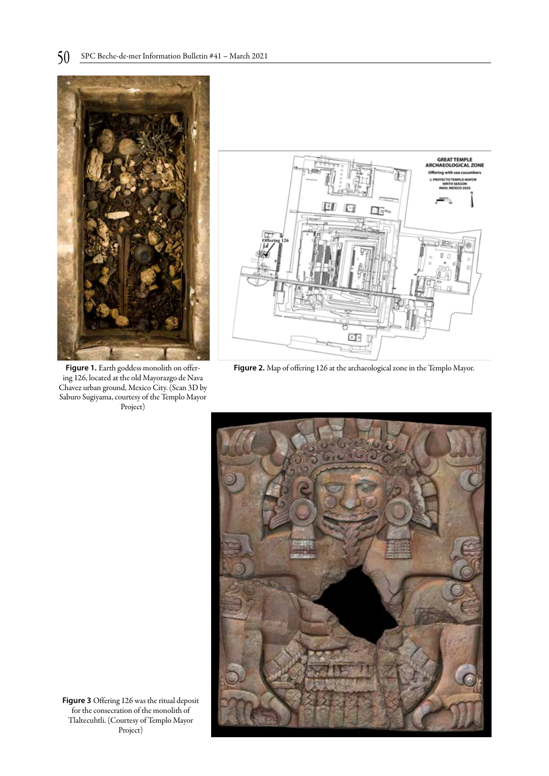

Figure 1. Earth goddess monolith on offering 126, located at the old Mayorazgo de Nava Chavez urban ground, Mexico City. (Scan 3D by Saburo Sugiyama, courtesy of the Templo Mayor Project)



**Figure 2.** Map of offering 126 at the archaeological zone in the Templo Mayor.



**Figure 3** Offering 126 was the ritual deposit for the consecration of the monolith of Tlaltecuhtli. (Courtesy of Templo Mayor Project)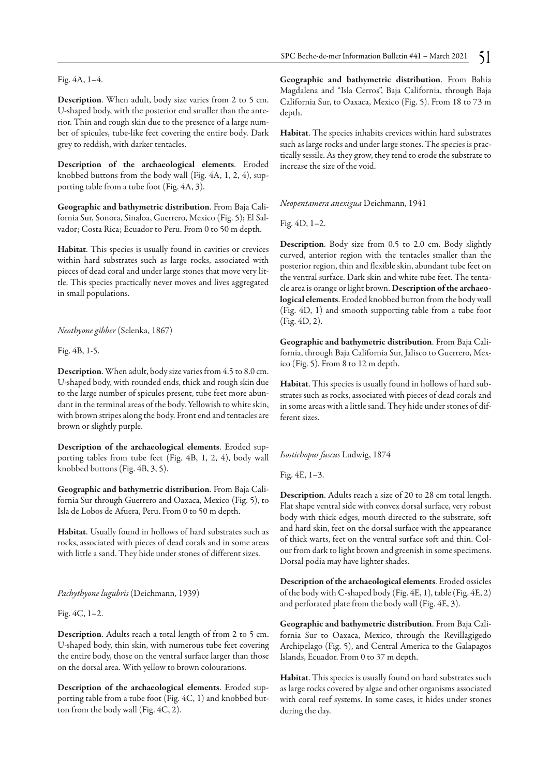Fig. 4A, 1–4.

Description. When adult, body size varies from 2 to 5 cm. U-shaped body, with the posterior end smaller than the anterior. Thin and rough skin due to the presence of a large number of spicules, tube-like feet covering the entire body. Dark grey to reddish, with darker tentacles.

Description of the archaeological elements. Eroded knobbed buttons from the body wall (Fig. 4A, 1, 2, 4), supporting table from a tube foot (Fig. 4A, 3).

Geographic and bathymetric distribution. From Baja California Sur, Sonora, Sinaloa, Guerrero, Mexico (Fig. 5); El Salvador; Costa Rica; Ecuador to Peru. From 0 to 50 m depth.

Habitat. This species is usually found in cavities or crevices within hard substrates such as large rocks, associated with pieces of dead coral and under large stones that move very little. This species practically never moves and lives aggregated in small populations.

*Neothyone gibber* (Selenka, 1867)

Fig. 4B, 1-5.

Description. When adult, body size varies from 4.5 to 8.0 cm. U-shaped body, with rounded ends, thick and rough skin due to the large number of spicules present, tube feet more abundant in the terminal areas of the body. Yellowish to white skin, with brown stripes along the body. Front end and tentacles are brown or slightly purple.

Description of the archaeological elements. Eroded supporting tables from tube feet (Fig. 4B, 1, 2, 4), body wall knobbed buttons (Fig. 4B, 3, 5).

Geographic and bathymetric distribution. From Baja California Sur through Guerrero and Oaxaca, Mexico (Fig. 5), to Isla de Lobos de Afuera, Peru. From 0 to 50 m depth.

Habitat. Usually found in hollows of hard substrates such as rocks, associated with pieces of dead corals and in some areas with little a sand. They hide under stones of different sizes.

*Pachythyone lugubris* (Deichmann, 1939)

Fig. 4C, 1–2.

Description. Adults reach a total length of from 2 to 5 cm. U-shaped body, thin skin, with numerous tube feet covering the entire body, those on the ventral surface larger than those on the dorsal area. With yellow to brown colourations.

Description of the archaeological elements. Eroded supporting table from a tube foot (Fig. 4C, 1) and knobbed button from the body wall (Fig. 4C, 2).

Geographic and bathymetric distribution. From Bahia Magdalena and "Isla Cerros", Baja California, through Baja California Sur, to Oaxaca, Mexico (Fig. 5). From 18 to 73 m depth.

Habitat. The species inhabits crevices within hard substrates such as large rocks and under large stones. The species is practically sessile. As they grow, they tend to erode the substrate to increase the size of the void.

*Neopentamera anexigua* Deichmann, 1941

Fig. 4D, 1–2.

Description. Body size from 0.5 to 2.0 cm. Body slightly curved, anterior region with the tentacles smaller than the posterior region, thin and flexible skin, abundant tube feet on the ventral surface. Dark skin and white tube feet. The tentacle area is orange or light brown. Description of the archaeological elements. Eroded knobbed button from the body wall (Fig. 4D, 1) and smooth supporting table from a tube foot (Fig. 4D, 2).

Geographic and bathymetric distribution. From Baja California, through Baja California Sur, Jalisco to Guerrero, Mexico (Fig. 5). From 8 to 12 m depth.

Habitat. This species is usually found in hollows of hard substrates such as rocks, associated with pieces of dead corals and in some areas with a little sand. They hide under stones of different sizes.

*Isostichopus fuscus* Ludwig, 1874

Fig. 4E, 1–3.

Description. Adults reach a size of 20 to 28 cm total length. Flat shape ventral side with convex dorsal surface, very robust body with thick edges, mouth directed to the substrate, soft and hard skin, feet on the dorsal surface with the appearance of thick warts, feet on the ventral surface soft and thin. Colour from dark to light brown and greenish in some specimens. Dorsal podia may have lighter shades.

Description of the archaeological elements. Eroded ossicles of the body with C-shaped body (Fig. 4E, 1), table (Fig. 4E, 2) and perforated plate from the body wall (Fig. 4E, 3).

Geographic and bathymetric distribution. From Baja California Sur to Oaxaca, Mexico, through the Revillagigedo Archipelago (Fig. 5), and Central America to the Galapagos Islands, Ecuador. From 0 to 37 m depth.

Habitat. This species is usually found on hard substrates such as large rocks covered by algae and other organisms associated with coral reef systems. In some cases, it hides under stones during the day.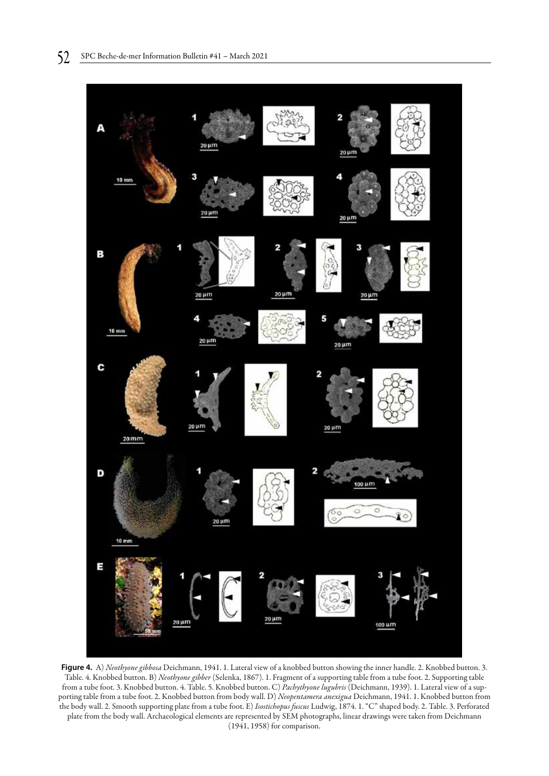

**Figure 4.** A) *Neothyone gibbosa* Deichmann, 1941. 1. Lateral view of a knobbed button showing the inner handle. 2. Knobbed button. 3. Table. 4. Knobbed button. B) *Neothyone gibber* (Selenka, 1867). 1. Fragment of a supporting table from a tube foot. 2. Supporting table from a tube foot. 3. Knobbed button. 4. Table. 5. Knobbed button. C) *Pachythyone lugubris* (Deichmann, 1939). 1. Lateral view of a supporting table from a tube foot. 2. Knobbed button from body wall. D) *Neopentamera anexigua* Deichmann, 1941. 1. Knobbed button from the body wall. 2. Smooth supporting plate from a tube foot. E) *Isostichopus fuscus* Ludwig, 1874. 1. "C" shaped body. 2. Table. 3. Perforated plate from the body wall. Archaeological elements are represented by SEM photographs, linear drawings were taken from Deichmann (1941, 1958) for comparison.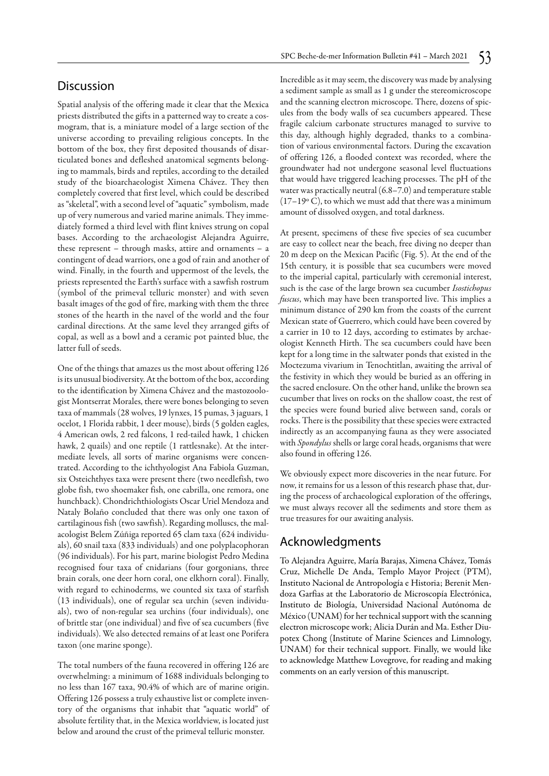## **Discussion**

Spatial analysis of the offering made it clear that the Mexica priests distributed the gifts in a patterned way to create a cosmogram, that is, a miniature model of a large section of the universe according to prevailing religious concepts. In the bottom of the box, they first deposited thousands of disarticulated bones and defleshed anatomical segments belonging to mammals, birds and reptiles, according to the detailed study of the bioarchaeologist Ximena Chávez. They then completely covered that first level, which could be described as "skeletal", with a second level of "aquatic" symbolism, made up of very numerous and varied marine animals. They immediately formed a third level with flint knives strung on copal bases. According to the archaeologist Alejandra Aguirre, these represent – through masks, attire and ornaments – a contingent of dead warriors, one a god of rain and another of wind. Finally, in the fourth and uppermost of the levels, the priests represented the Earth's surface with a sawfish rostrum (symbol of the primeval telluric monster) and with seven basalt images of the god of fire, marking with them the three stones of the hearth in the navel of the world and the four cardinal directions. At the same level they arranged gifts of copal, as well as a bowl and a ceramic pot painted blue, the latter full of seeds.

One of the things that amazes us the most about offering 126 is its unusual biodiversity. At the bottom of the box, according to the identification by Ximena Chávez and the mastozoologist Montserrat Morales, there were bones belonging to seven taxa of mammals (28 wolves, 19 lynxes, 15 pumas, 3 jaguars, 1 ocelot, 1 Florida rabbit, 1 deer mouse), birds (5 golden eagles, 4 American owls, 2 red falcons, 1 red-tailed hawk, 1 chicken hawk, 2 quails) and one reptile (1 rattlesnake). At the intermediate levels, all sorts of marine organisms were concentrated. According to the ichthyologist Ana Fabiola Guzman, six Osteichthyes taxa were present there (two needlefish, two globe fish, two shoemaker fish, one cabrilla, one remora, one hunchback). Chondrichthiologists Oscar Uriel Mendoza and Nataly Bolaño concluded that there was only one taxon of cartilaginous fish (two sawfish). Regarding molluscs, the malacologist Belem Zúñiga reported 65 clam taxa (624 individuals), 60 snail taxa (833 individuals) and one polyplacophoran (96 individuals). For his part, marine biologist Pedro Medina recognised four taxa of cnidarians (four gorgonians, three brain corals, one deer horn coral, one elkhorn coral). Finally, with regard to echinoderms, we counted six taxa of starfish (13 individuals), one of regular sea urchin (seven individuals), two of non-regular sea urchins (four individuals), one of brittle star (one individual) and five of sea cucumbers (five individuals). We also detected remains of at least one Porifera taxon (one marine sponge).

The total numbers of the fauna recovered in offering 126 are overwhelming: a minimum of 1688 individuals belonging to no less than 167 taxa, 90.4% of which are of marine origin. Offering 126 possess a truly exhaustive list or complete inventory of the organisms that inhabit that "aquatic world" of absolute fertility that, in the Mexica worldview, is located just below and around the crust of the primeval telluric monster.

Incredible as it may seem, the discovery was made by analysing a sediment sample as small as 1 g under the stereomicroscope and the scanning electron microscope. There, dozens of spicules from the body walls of sea cucumbers appeared. These fragile calcium carbonate structures managed to survive to this day, although highly degraded, thanks to a combination of various environmental factors. During the excavation of offering 126, a flooded context was recorded, where the groundwater had not undergone seasonal level fluctuations that would have triggered leaching processes. The pH of the water was practically neutral (6.8–7.0) and temperature stable  $(17-19\degree C)$ , to which we must add that there was a minimum amount of dissolved oxygen, and total darkness.

At present, specimens of these five species of sea cucumber are easy to collect near the beach, free diving no deeper than 20 m deep on the Mexican Pacific (Fig. 5). At the end of the 15th century, it is possible that sea cucumbers were moved to the imperial capital, particularly with ceremonial interest, such is the case of the large brown sea cucumber *Isostichopus fuscus*, which may have been transported live. This implies a minimum distance of 290 km from the coasts of the current Mexican state of Guerrero, which could have been covered by a carrier in 10 to 12 days, according to estimates by archaeologist Kenneth Hirth. The sea cucumbers could have been kept for a long time in the saltwater ponds that existed in the Moctezuma vivarium in Tenochtitlan, awaiting the arrival of the festivity in which they would be buried as an offering in the sacred enclosure. On the other hand, unlike the brown sea cucumber that lives on rocks on the shallow coast, the rest of the species were found buried alive between sand, corals or rocks. There is the possibility that these species were extracted indirectly as an accompanying fauna as they were associated with *Spondylus* shells or large coral heads, organisms that were also found in offering 126.

We obviously expect more discoveries in the near future. For now, it remains for us a lesson of this research phase that, during the process of archaeological exploration of the offerings, we must always recover all the sediments and store them as true treasures for our awaiting analysis.

# Acknowledgments

To Alejandra Aguirre, María Barajas, Ximena Chávez, Tomás Cruz, Michelle De Anda, Templo Mayor Project (PTM), Instituto Nacional de Antropología e Historia; Berenit Mendoza Garfias at the Laboratorio de Microscopía Electrónica, Instituto de Biología, Universidad Nacional Autónoma de México (UNAM) for her technical support with the scanning electron microscope work; Alicia Durán and Ma. Esther Diupotex Chong (Institute of Marine Sciences and Limnology, UNAM) for their technical support. Finally, we would like to acknowledge Matthew Lovegrove, for reading and making comments on an early version of this manuscript.